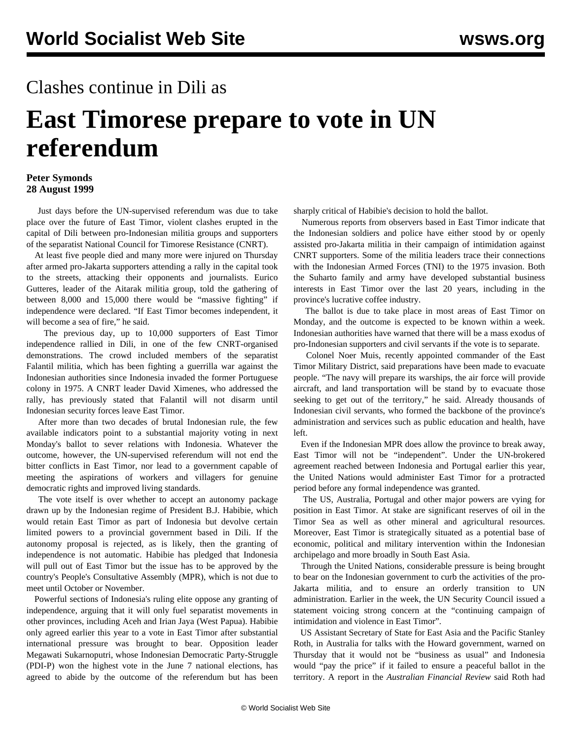## Clashes continue in Dili as

## **East Timorese prepare to vote in UN referendum**

## **Peter Symonds 28 August 1999**

 Just days before the UN-supervised referendum was due to take place over the future of East Timor, violent clashes erupted in the capital of Dili between pro-Indonesian militia groups and supporters of the separatist National Council for Timorese Resistance (CNRT).

 At least five people died and many more were injured on Thursday after armed pro-Jakarta supporters attending a rally in the capital took to the streets, attacking their opponents and journalists. Eurico Gutteres, leader of the Aitarak militia group, told the gathering of between 8,000 and 15,000 there would be "massive fighting" if independence were declared. "If East Timor becomes independent, it will become a sea of fire," he said.

 The previous day, up to 10,000 supporters of East Timor independence rallied in Dili, in one of the few CNRT-organised demonstrations. The crowd included members of the separatist Falantil militia, which has been fighting a guerrilla war against the Indonesian authorities since Indonesia invaded the former Portuguese colony in 1975. A CNRT leader David Ximenes, who addressed the rally, has previously stated that Falantil will not disarm until Indonesian security forces leave East Timor.

 After more than two decades of brutal Indonesian rule, the few available indicators point to a substantial majority voting in next Monday's ballot to sever relations with Indonesia. Whatever the outcome, however, the UN-supervised referendum will not end the bitter conflicts in East Timor, nor lead to a government capable of meeting the aspirations of workers and villagers for genuine democratic rights and improved living standards.

 The vote itself is over whether to accept an autonomy package drawn up by the Indonesian regime of President B.J. Habibie, which would retain East Timor as part of Indonesia but devolve certain limited powers to a provincial government based in Dili. If the autonomy proposal is rejected, as is likely, then the granting of independence is not automatic. Habibie has pledged that Indonesia will pull out of East Timor but the issue has to be approved by the country's People's Consultative Assembly (MPR), which is not due to meet until October or November.

 Powerful sections of Indonesia's ruling elite oppose any granting of independence, arguing that it will only fuel separatist movements in other provinces, including Aceh and Irian Jaya (West Papua). Habibie only agreed earlier this year to a vote in East Timor after substantial international pressure was brought to bear. Opposition leader Megawati Sukarnoputri, whose Indonesian Democratic Party-Struggle (PDI-P) won the highest vote in the June 7 national elections, has agreed to abide by the outcome of the referendum but has been sharply critical of Habibie's decision to hold the ballot.

 Numerous reports from observers based in East Timor indicate that the Indonesian soldiers and police have either stood by or openly assisted pro-Jakarta militia in their campaign of intimidation against CNRT supporters. Some of the militia leaders trace their connections with the Indonesian Armed Forces (TNI) to the 1975 invasion. Both the Suharto family and army have developed substantial business interests in East Timor over the last 20 years, including in the province's lucrative coffee industry.

 The ballot is due to take place in most areas of East Timor on Monday, and the outcome is expected to be known within a week. Indonesian authorities have warned that there will be a mass exodus of pro-Indonesian supporters and civil servants if the vote is to separate.

 Colonel Noer Muis, recently appointed commander of the East Timor Military District, said preparations have been made to evacuate people. "The navy will prepare its warships, the air force will provide aircraft, and land transportation will be stand by to evacuate those seeking to get out of the territory," he said. Already thousands of Indonesian civil servants, who formed the backbone of the province's administration and services such as public education and health, have left.

 Even if the Indonesian MPR does allow the province to break away, East Timor will not be "independent". Under the UN-brokered agreement reached between Indonesia and Portugal earlier this year, the United Nations would administer East Timor for a protracted period before any formal independence was granted.

 The US, Australia, Portugal and other major powers are vying for position in East Timor. At stake are significant reserves of oil in the Timor Sea as well as other mineral and agricultural resources. Moreover, East Timor is strategically situated as a potential base of economic, political and military intervention within the Indonesian archipelago and more broadly in South East Asia.

 Through the United Nations, considerable pressure is being brought to bear on the Indonesian government to curb the activities of the pro-Jakarta militia, and to ensure an orderly transition to UN administration. Earlier in the week, the UN Security Council issued a statement voicing strong concern at the "continuing campaign of intimidation and violence in East Timor".

 US Assistant Secretary of State for East Asia and the Pacific Stanley Roth, in Australia for talks with the Howard government, warned on Thursday that it would not be "business as usual" and Indonesia would "pay the price" if it failed to ensure a peaceful ballot in the territory. A report in the *Australian Financial Review* said Roth had